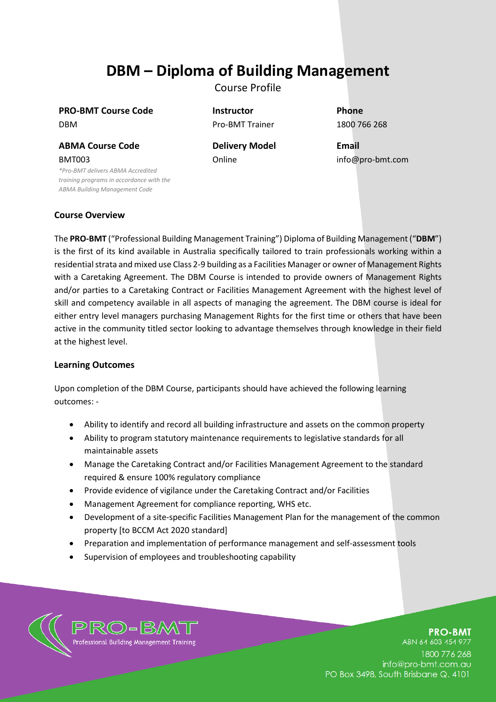# **DBM – Diploma of Building Management**

Course Profile

**PRO-BMT Course Code Instructor Phone** DBM Pro-BMT Trainer 1800 766 268

**ABMA Course Code Delivery Model Email** BMT003

*\*Pro-BMT delivers ABMA Accredited training programs in accordance with the ABMA Building Management Code*

Online info@pro-bmt.com

# **Course Overview**

The **PRO-BMT** ("Professional Building Management Training") Diploma of Building Management ("**DBM**") is the first of its kind available in Australia specifically tailored to train professionals working within a residential strata and mixed use Class 2-9 building as a Facilities Manager or owner of Management Rights with a Caretaking Agreement. The DBM Course is intended to provide owners of Management Rights and/or parties to a Caretaking Contract or Facilities Management Agreement with the highest level of skill and competency available in all aspects of managing the agreement. The DBM course is ideal for either entry level managers purchasing Management Rights for the first time or others that have been active in the community titled sector looking to advantage themselves through knowledge in their field at the highest level.

# **Learning Outcomes**

Upon completion of the DBM Course, participants should have achieved the following learning outcomes: -

- Ability to identify and record all building infrastructure and assets on the common property
- Ability to program statutory maintenance requirements to legislative standards for all maintainable assets
- Manage the Caretaking Contract and/or Facilities Management Agreement to the standard required & ensure 100% regulatory compliance
- Provide evidence of vigilance under the Caretaking Contract and/or Facilities
- Management Agreement for compliance reporting, WHS etc.
- Development of a site-specific Facilities Management Plan for the management of the common property [to BCCM Act 2020 standard]
- Preparation and implementation of performance management and self-assessment tools
- Supervision of employees and troubleshooting capability



**PRO-BMT** 

ABN 64 603 454 977 1800 776 268 info@pro-bmt.com.au PO Box 3498, South Brisbane Q. 4101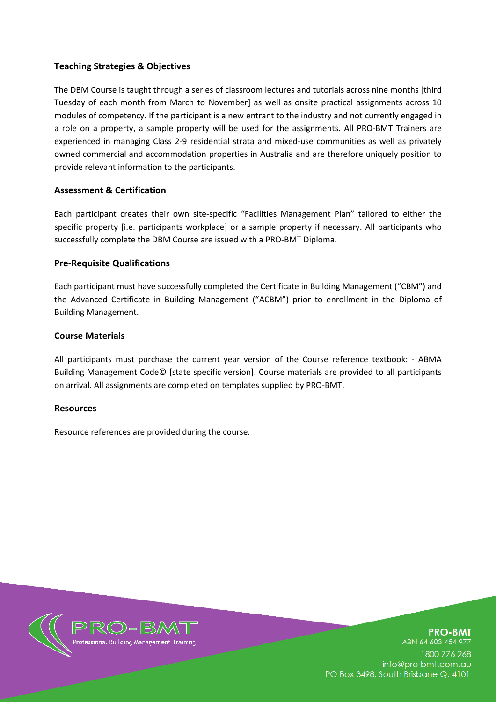# **Teaching Strategies & Objectives**

The DBM Course is taught through a series of classroom lectures and tutorials across nine months [third Tuesday of each month from March to November] as well as onsite practical assignments across 10 modules of competency. If the participant is a new entrant to the industry and not currently engaged in a role on a property, a sample property will be used for the assignments. All PRO-BMT Trainers are experienced in managing Class 2-9 residential strata and mixed-use communities as well as privately owned commercial and accommodation properties in Australia and are therefore uniquely position to provide relevant information to the participants.

# **Assessment & Certification**

Each participant creates their own site-specific "Facilities Management Plan" tailored to either the specific property [i.e. participants workplace] or a sample property if necessary. All participants who successfully complete the DBM Course are issued with a PRO-BMT Diploma.

# **Pre-Requisite Qualifications**

Each participant must have successfully completed the Certificate in Building Management ("CBM") and the Advanced Certificate in Building Management ("ACBM") prior to enrollment in the Diploma of Building Management.

#### **Course Materials**

All participants must purchase the current year version of the Course reference textbook: - ABMA Building Management Code© [state specific version]. Course materials are provided to all participants on arrival. All assignments are completed on templates supplied by PRO-BMT.

#### **Resources**

Resource references are provided during the course.



**PRO-BMT** ABN 64 603 454 977 1800 776 268 info@pro-bmt.com.au PO Box 3498, South Brisbane Q. 4101